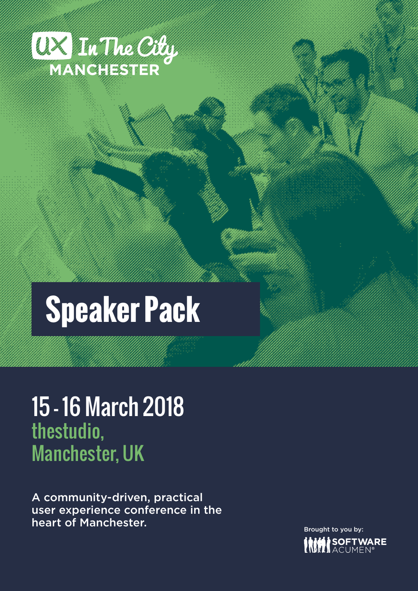

# **Speaker Pack**

# 15 - 16 March 2018 thestudio, Manchester, UK

A community-driven, practical user experience conference in the heart of Manchester.

Brought to you by:SOFTWARE<br>Iacumen®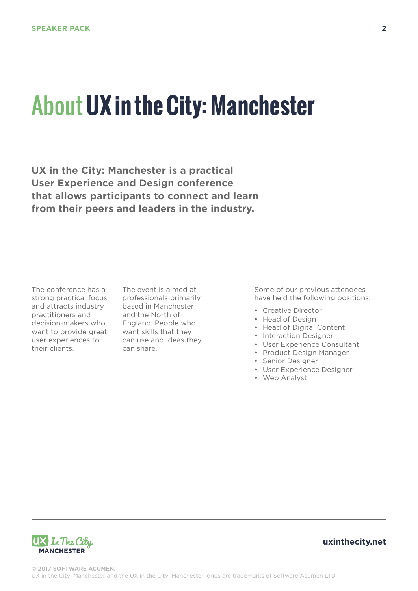# About **UX in the City: Manchester**

**UX in the City: Manchester is a practical User Experience and Design conference that allows participants to connect and learn from their peers and leaders in the industry.**

The conference has a strong practical focus and attracts industry practitioners and decision-makers who want to provide great want skills that they their clients.

user experiences to can use and ideas they The event is aimed at professionals primarily based in Manchester and the North of England. People who can share.

Some of our previous attendees have held the following positions:

- Creative Director
- Head of Design
- Head of Digital Content
- Interaction Designer
- User Experience Consultant
- Product Design Manager
- Senior Designer
- User Experience Designer
- Web Analyst

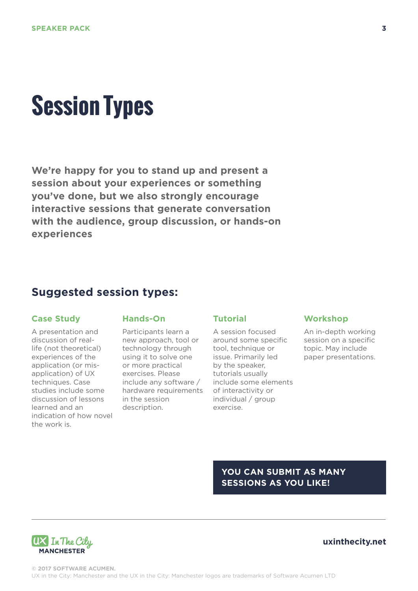# **Session Types**

**We're happy for you to stand up and present a session about your experiences or something you've done, but we also strongly encourage interactive sessions that generate conversation with the audience, group discussion, or hands-on experiences**

## **Suggested session types:**

### **Case Study**

A presentation and discussion of reallife (not theoretical) experiences of the application (or misapplication) of UX techniques. Case studies include some discussion of lessons learned and an indication of how novel the work is.

### **Hands-On**

Participants learn a new approach, tool or technology through using it to solve one or more practical exercises. Please include any software / hardware requirements in the session description.

#### **Tutorial**

A session focused around some specific tool, technique or issue. Primarily led by the speaker, tutorials usually include some elements of interactivity or individual / group exercise.

### **Workshop**

An in-depth working session on a specific topic. May include paper presentations.

**YOU CAN SUBMIT AS MANY SESSIONS AS YOU LIKE!**

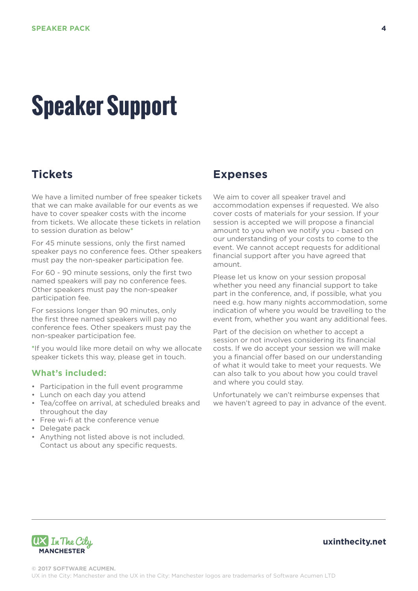# **Speaker Support**

# **Tickets**

We have a limited number of free speaker tickets that we can make available for our events as we have to cover speaker costs with the income from tickets. We allocate these tickets in relation to session duration as below**\***

For 45 minute sessions, only the first named speaker pays no conference fees. Other speakers must pay the non-speaker participation fee.

For 60 - 90 minute sessions, only the first two named speakers will pay no conference fees. Other speakers must pay the non-speaker participation fee.

For sessions longer than 90 minutes, only the first three named speakers will pay no conference fees. Other speakers must pay the non-speaker participation fee.

**\***If you would like more detail on why we allocate speaker tickets this way, please get in touch.

### **What's included:**

- Participation in the full event programme
- Lunch on each day you attend
- Tea/coffee on arrival, at scheduled breaks and throughout the day
- Free wi-fi at the conference venue
- Delegate pack
- Anything not listed above is not included. Contact us about any specific requests.

### **Expenses**

We aim to cover all speaker travel and accommodation expenses if requested. We also cover costs of materials for your session. If your session is accepted we will propose a financial amount to you when we notify you - based on our understanding of your costs to come to the event. We cannot accept requests for additional financial support after you have agreed that amount.

Please let us know on your session proposal whether you need any financial support to take part in the conference, and, if possible, what you need e.g. how many nights accommodation, some indication of where you would be travelling to the event from, whether you want any additional fees.

Part of the decision on whether to accept a session or not involves considering its financial costs. If we do accept your session we will make you a financial offer based on our understanding of what it would take to meet your requests. We can also talk to you about how you could travel and where you could stay.

Unfortunately we can't reimburse expenses that we haven't agreed to pay in advance of the event.

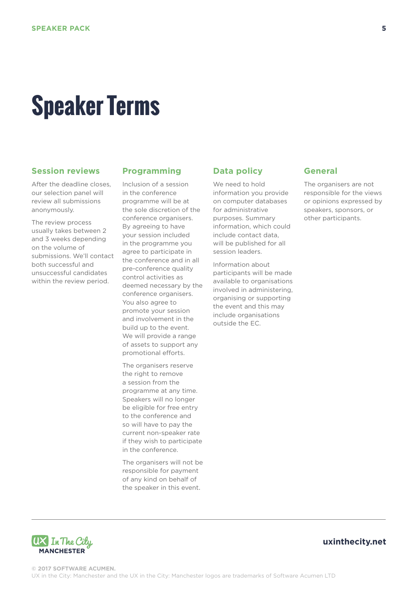# **Speaker Terms**

### **Session reviews**

After the deadline closes, our selection panel will review all submissions anonymously.

The review process usually takes between 2 and 3 weeks depending on the volume of submissions. We'll contact both successful and unsuccessful candidates within the review period.

### **Programming**

Inclusion of a session in the conference programme will be at the sole discretion of the conference organisers. By agreeing to have your session included in the programme you agree to participate in the conference and in all pre-conference quality control activities as deemed necessary by the conference organisers. You also agree to promote your session and involvement in the build up to the event. We will provide a range of assets to support any promotional efforts.

The organisers reserve the right to remove a session from the programme at any time. Speakers will no longer be eligible for free entry to the conference and so will have to pay the current non-speaker rate if they wish to participate in the conference.

The organisers will not be responsible for payment of any kind on behalf of the speaker in this event.

### **Data policy**

We need to hold information you provide on computer databases for administrative purposes. Summary information, which could include contact data, will be published for all session leaders.

Information about participants will be made available to organisations involved in administering, organising or supporting the event and this may include organisations outside the EC.

#### **General**

The organisers are not responsible for the views or opinions expressed by speakers, sponsors, or other participants.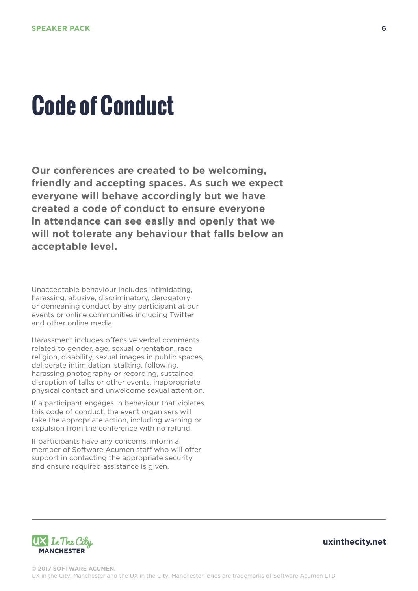# **Code of Conduct**

**Our conferences are created to be welcoming, friendly and accepting spaces. As such we expect everyone will behave accordingly but we have created a code of conduct to ensure everyone in attendance can see easily and openly that we will not tolerate any behaviour that falls below an acceptable level.** 

Unacceptable behaviour includes intimidating, harassing, abusive, discriminatory, derogatory or demeaning conduct by any participant at our events or online communities including Twitter and other online media.

Harassment includes offensive verbal comments related to gender, age, sexual orientation, race religion, disability, sexual images in public spaces, deliberate intimidation, stalking, following, harassing photography or recording, sustained disruption of talks or other events, inappropriate physical contact and unwelcome sexual attention.

If a participant engages in behaviour that violates this code of conduct, the event organisers will take the appropriate action, including warning or expulsion from the conference with no refund.

If participants have any concerns, inform a member of Software Acumen staff who will offer support in contacting the appropriate security and ensure required assistance is given.